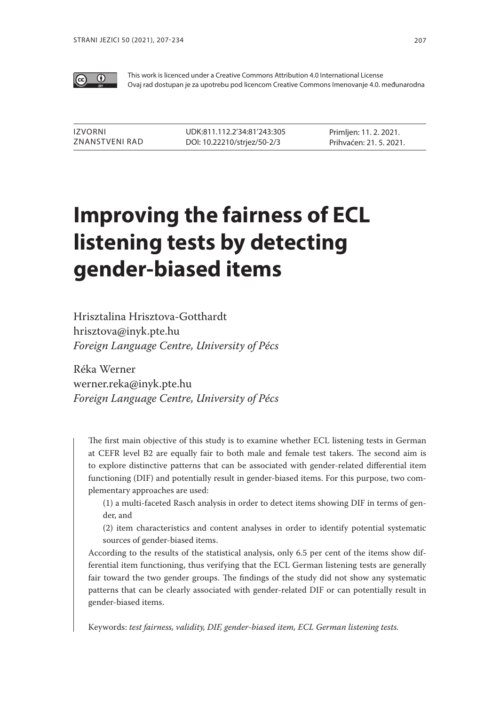

This work is licenced under a Creative Commons Attribution 4.0 International License Ovaj rad dostupan je za upotrebu pod licencom Creative Commons Imenovanje 4.0. međunarodna

| IZVORNI        | UDK:811.112.2'34:81'243:305 | Primljen: 11. 2. 2021.  |
|----------------|-----------------------------|-------------------------|
| ZNANSTVENI RAD | DOI: 10.22210/strjez/50-2/3 | Prihvaćen: 21. 5. 2021. |

# **Improving the fairness of ECL listening tests by detecting gender-biased items**

Hrisztalina Hrisztova-Gotthardt hrisztova@inyk.pte.hu *Foreign Language Centre, University of Pécs*

Réka Werner werner.reka@inyk.pte.hu *Foreign Language Centre, University of Pécs*

The first main objective of this study is to examine whether ECL listening tests in German at CEFR level B2 are equally fair to both male and female test takers. The second aim is to explore distinctive patterns that can be associated with gender-related differential item functioning (DIF) and potentially result in gender-biased items. For this purpose, two complementary approaches are used:

(1) a multi-faceted Rasch analysis in order to detect items showing DIF in terms of gender, and

(2) item characteristics and content analyses in order to identify potential systematic sources of gender-biased items.

According to the results of the statistical analysis, only 6.5 per cent of the items show differential item functioning, thus verifying that the ECL German listening tests are generally fair toward the two gender groups. The findings of the study did not show any systematic patterns that can be clearly associated with gender-related DIF or can potentially result in gender-biased items.

Keywords: *test fairness, validity, DIF, gender-biased item, ECL German listening tests.*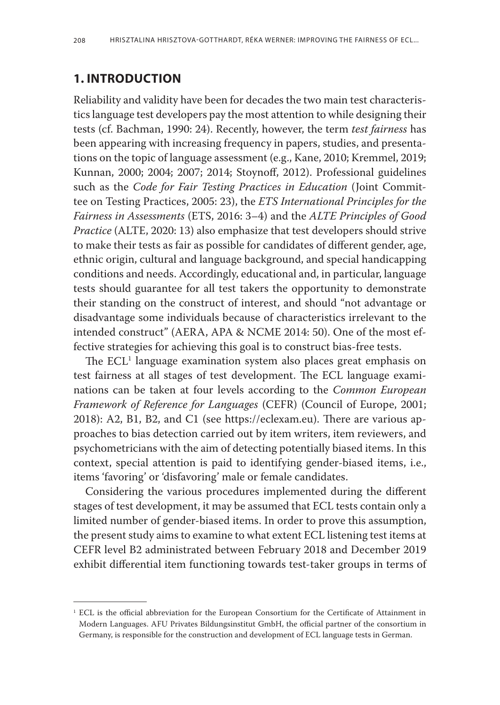## **1. Introduction**

Reliability and validity have been for decades the two main test characteristics language test developers pay the most attention to while designing their tests (cf. Bachman, 1990: 24). Recently, however, the term *test fairness* has been appearing with increasing frequency in papers, studies, and presentations on the topic of language assessment (e.g., Kane, 2010; Kremmel, 2019; Kunnan, 2000; 2004; 2007; 2014; Stoynoff, 2012). Professional guidelines such as the *Code for Fair Testing Practices in Education* (Joint Committee on Testing Practices, 2005: 23), the *ETS International Principles for the Fairness in Assessments* (ETS, 2016: 3–4) and the *ALTE Principles of Good Practice* (ALTE, 2020: 13) also emphasize that test developers should strive to make their tests as fair as possible for candidates of different gender, age, ethnic origin, cultural and language background, and special handicapping conditions and needs. Accordingly, educational and, in particular, language tests should guarantee for all test takers the opportunity to demonstrate their standing on the construct of interest, and should "not advantage or disadvantage some individuals because of characteristics irrelevant to the intended construct" (AERA, APA & NCME 2014: 50). One of the most effective strategies for achieving this goal is to construct bias-free tests.

The  $ECL<sup>1</sup>$  language examination system also places great emphasis on test fairness at all stages of test development. The ECL language examinations can be taken at four levels according to the *Common European Framework of Reference for Languages* (CEFR) (Council of Europe, 2001; 2018): A2, B1, B2, and C1 (see https://eclexam.eu). There are various approaches to bias detection carried out by item writers, item reviewers, and psychometricians with the aim of detecting potentially biased items. In this context, special attention is paid to identifying gender-biased items, i.e., items 'favoring' or 'disfavoring' male or female candidates.

Considering the various procedures implemented during the different stages of test development, it may be assumed that ECL tests contain only a limited number of gender-biased items. In order to prove this assumption, the present study aims to examine to what extent ECL listening test items at CEFR level B2 administrated between February 2018 and December 2019 exhibit differential item functioning towards test-taker groups in terms of

<sup>&</sup>lt;sup>1</sup> ECL is the official abbreviation for the European Consortium for the Certificate of Attainment in Modern Languages. AFU Privates Bildungsinstitut GmbH, the official partner of the consortium in Germany, is responsible for the construction and development of ECL language tests in German.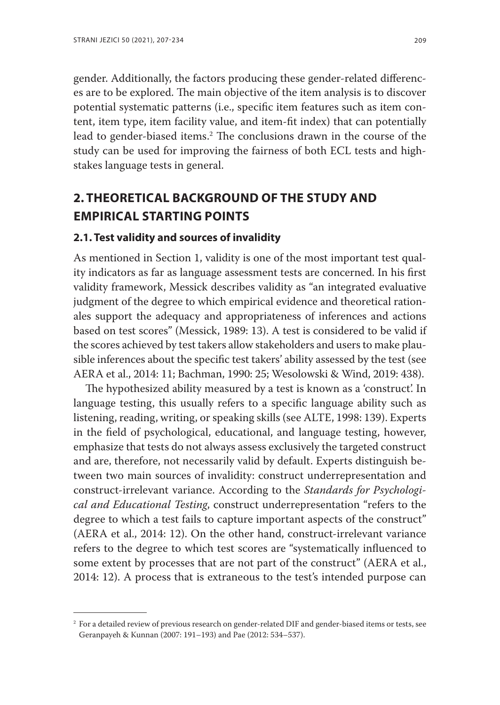gender. Additionally, the factors producing these gender-related differences are to be explored. The main objective of the item analysis is to discover potential systematic patterns (i.e., specific item features such as item content, item type, item facility value, and item-fit index) that can potentially lead to gender-biased items.2 The conclusions drawn in the course of the study can be used for improving the fairness of both ECL tests and highstakes language tests in general.

# **2. Theoretical background of the study and empirical starting points**

#### **2.1. Test validity and sources of invalidity**

As mentioned in Section 1, validity is one of the most important test quality indicators as far as language assessment tests are concerned. In his first validity framework, Messick describes validity as "an integrated evaluative judgment of the degree to which empirical evidence and theoretical rationales support the adequacy and appropriateness of inferences and actions based on test scores" (Messick, 1989: 13). A test is considered to be valid if the scores achieved by test takers allow stakeholders and users to make plausible inferences about the specific test takers' ability assessed by the test (see AERA et al., 2014: 11; Bachman, 1990: 25; Wesolowski & Wind, 2019: 438).

The hypothesized ability measured by a test is known as a 'construct'. In language testing, this usually refers to a specific language ability such as listening, reading, writing, or speaking skills (see ALTE, 1998: 139). Experts in the field of psychological, educational, and language testing, however, emphasize that tests do not always assess exclusively the targeted construct and are, therefore, not necessarily valid by default. Experts distinguish between two main sources of invalidity: construct underrepresentation and construct-irrelevant variance. According to the *Standards for Psychological and Educational Testing*, construct underrepresentation "refers to the degree to which a test fails to capture important aspects of the construct" (AERA et al., 2014: 12). On the other hand, construct-irrelevant variance refers to the degree to which test scores are "systematically influenced to some extent by processes that are not part of the construct" (AERA et al., 2014: 12). A process that is extraneous to the test's intended purpose can

<sup>2</sup> For a detailed review of previous research on gender-related DIF and gender-biased items or tests, see Geranpayeh & Kunnan (2007: 191–193) and Pae (2012: 534–537).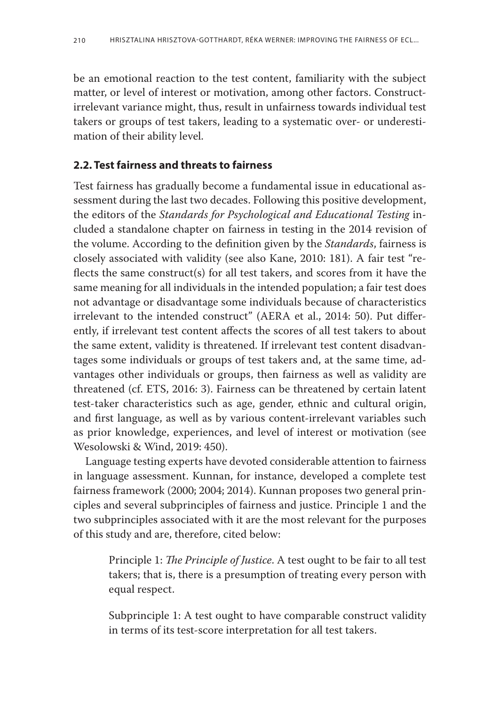be an emotional reaction to the test content, familiarity with the subject matter, or level of interest or motivation, among other factors. Constructirrelevant variance might, thus, result in unfairness towards individual test takers or groups of test takers, leading to a systematic over- or underestimation of their ability level.

## **2.2. Test fairness and threats to fairness**

Test fairness has gradually become a fundamental issue in educational assessment during the last two decades. Following this positive development, the editors of the *Standards for Psychological and Educational Testing* included a standalone chapter on fairness in testing in the 2014 revision of the volume. According to the definition given by the *Standards*, fairness is closely associated with validity (see also Kane, 2010: 181). A fair test "reflects the same construct(s) for all test takers, and scores from it have the same meaning for all individuals in the intended population; a fair test does not advantage or disadvantage some individuals because of characteristics irrelevant to the intended construct" (AERA et al., 2014: 50). Put differently, if irrelevant test content affects the scores of all test takers to about the same extent, validity is threatened. If irrelevant test content disadvantages some individuals or groups of test takers and, at the same time, advantages other individuals or groups, then fairness as well as validity are threatened (cf. ETS, 2016: 3). Fairness can be threatened by certain latent test-taker characteristics such as age, gender, ethnic and cultural origin, and first language, as well as by various content-irrelevant variables such as prior knowledge, experiences, and level of interest or motivation (see Wesolowski & Wind, 2019: 450).

Language testing experts have devoted considerable attention to fairness in language assessment. Kunnan, for instance, developed a complete test fairness framework (2000; 2004; 2014). Kunnan proposes two general principles and several subprinciples of fairness and justice. Principle 1 and the two subprinciples associated with it are the most relevant for the purposes of this study and are, therefore, cited below:

Principle 1: *The Principle of Justice*. A test ought to be fair to all test takers; that is, there is a presumption of treating every person with equal respect.

Subprinciple 1: A test ought to have comparable construct validity in terms of its test-score interpretation for all test takers.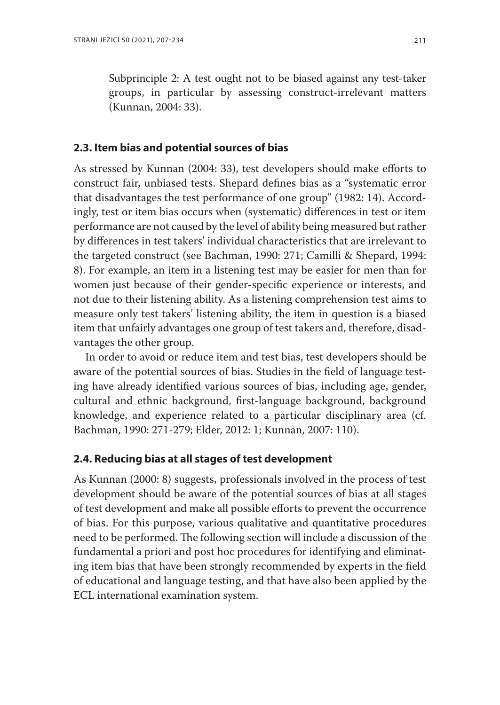Subprinciple 2: A test ought not to be biased against any test-taker groups, in particular by assessing construct-irrelevant matters (Kunnan, 2004: 33).

#### **2.3. Item bias and potential sources of bias**

As stressed by Kunnan (2004: 33), test developers should make efforts to construct fair, unbiased tests. Shepard defines bias as a "systematic error that disadvantages the test performance of one group" (1982: 14). Accordingly, test or item bias occurs when (systematic) differences in test or item performance are not caused by the level of ability being measured but rather by differences in test takers' individual characteristics that are irrelevant to the targeted construct (see Bachman, 1990: 271; Camilli & Shepard, 1994: 8). For example, an item in a listening test may be easier for men than for women just because of their gender-specific experience or interests, and not due to their listening ability. As a listening comprehension test aims to measure only test takers' listening ability, the item in question is a biased item that unfairly advantages one group of test takers and, therefore, disadvantages the other group.

In order to avoid or reduce item and test bias, test developers should be aware of the potential sources of bias. Studies in the field of language testing have already identified various sources of bias, including age, gender, cultural and ethnic background, first-language background, background knowledge, and experience related to a particular disciplinary area (cf. Bachman, 1990: 271-279; Elder, 2012: 1; Kunnan, 2007: 110).

## **2.4. Reducing bias at all stages of test development**

As Kunnan (2000: 8) suggests, professionals involved in the process of test development should be aware of the potential sources of bias at all stages of test development and make all possible efforts to prevent the occurrence of bias. For this purpose, various qualitative and quantitative procedures need to be performed. The following section will include a discussion of the fundamental a priori and post hoc procedures for identifying and eliminating item bias that have been strongly recommended by experts in the field of educational and language testing, and that have also been applied by the ECL international examination system.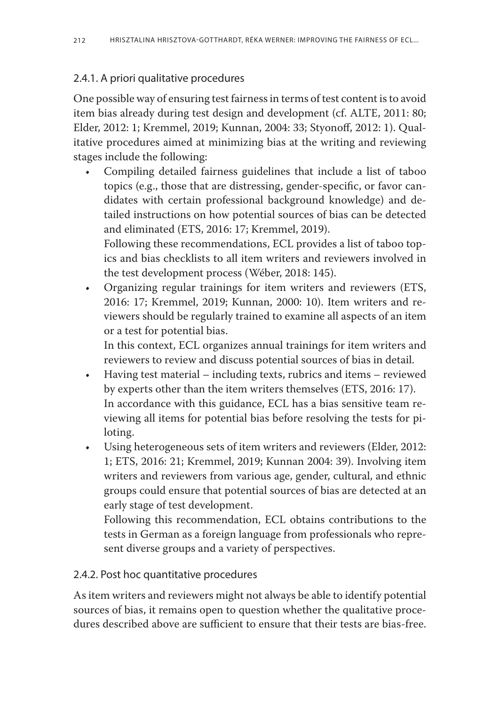## 2.4.1. A priori qualitative procedures

One possible way of ensuring test fairness in terms of test content is to avoid item bias already during test design and development (cf. ALTE, 2011: 80; Elder, 2012: 1; Kremmel, 2019; Kunnan, 2004: 33; Styonoff, 2012: 1). Qualitative procedures aimed at minimizing bias at the writing and reviewing stages include the following:

Compiling detailed fairness guidelines that include a list of taboo topics (e.g., those that are distressing, gender-specific, or favor candidates with certain professional background knowledge) and detailed instructions on how potential sources of bias can be detected and eliminated (ETS, 2016: 17; Kremmel, 2019).

Following these recommendations, ECL provides a list of taboo topics and bias checklists to all item writers and reviewers involved in the test development process (Wéber, 2018: 145).

• Organizing regular trainings for item writers and reviewers (ETS, 2016: 17; Kremmel, 2019; Kunnan, 2000: 10). Item writers and reviewers should be regularly trained to examine all aspects of an item or a test for potential bias.

In this context, ECL organizes annual trainings for item writers and reviewers to review and discuss potential sources of bias in detail.

- • Having test material including texts, rubrics and items reviewed by experts other than the item writers themselves (ETS, 2016: 17). In accordance with this guidance, ECL has a bias sensitive team reviewing all items for potential bias before resolving the tests for piloting.
- • Using heterogeneous sets of item writers and reviewers (Elder, 2012: 1; ETS, 2016: 21; Kremmel, 2019; Kunnan 2004: 39). Involving item writers and reviewers from various age, gender, cultural, and ethnic groups could ensure that potential sources of bias are detected at an early stage of test development.

Following this recommendation, ECL obtains contributions to the tests in German as a foreign language from professionals who represent diverse groups and a variety of perspectives.

## 2.4.2. Post hoc quantitative procedures

As item writers and reviewers might not always be able to identify potential sources of bias, it remains open to question whether the qualitative procedures described above are sufficient to ensure that their tests are bias-free.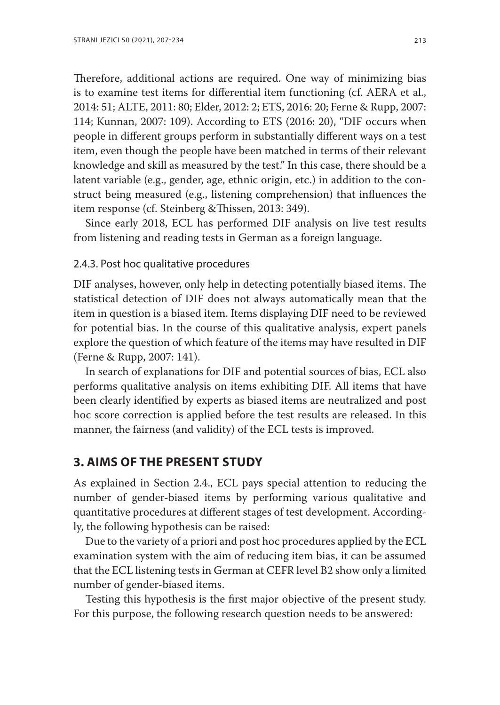Therefore, additional actions are required. One way of minimizing bias is to examine test items for differential item functioning (cf. AERA et al., 2014: 51; ALTE, 2011: 80; Elder, 2012: 2; ETS, 2016: 20; Ferne & Rupp, 2007: 114; Kunnan, 2007: 109). According to ETS (2016: 20), "DIF occurs when people in different groups perform in substantially different ways on a test item, even though the people have been matched in terms of their relevant knowledge and skill as measured by the test." In this case, there should be a latent variable (e.g., gender, age, ethnic origin, etc.) in addition to the construct being measured (e.g., listening comprehension) that influences the item response (cf. Steinberg &Thissen, 2013: 349).

Since early 2018, ECL has performed DIF analysis on live test results from listening and reading tests in German as a foreign language.

#### 2.4.3. Post hoc qualitative procedures

DIF analyses, however, only help in detecting potentially biased items. The statistical detection of DIF does not always automatically mean that the item in question is a biased item. Items displaying DIF need to be reviewed for potential bias. In the course of this qualitative analysis, expert panels explore the question of which feature of the items may have resulted in DIF (Ferne & Rupp, 2007: 141).

In search of explanations for DIF and potential sources of bias, ECL also performs qualitative analysis on items exhibiting DIF. All items that have been clearly identified by experts as biased items are neutralized and post hoc score correction is applied before the test results are released. In this manner, the fairness (and validity) of the ECL tests is improved.

## **3. Aims of the present study**

As explained in Section 2.4., ECL pays special attention to reducing the number of gender-biased items by performing various qualitative and quantitative procedures at different stages of test development. Accordingly, the following hypothesis can be raised:

Due to the variety of a priori and post hoc procedures applied by the ECL examination system with the aim of reducing item bias, it can be assumed that the ECL listening tests in German at CEFR level B2 show only a limited number of gender-biased items.

Testing this hypothesis is the first major objective of the present study. For this purpose, the following research question needs to be answered: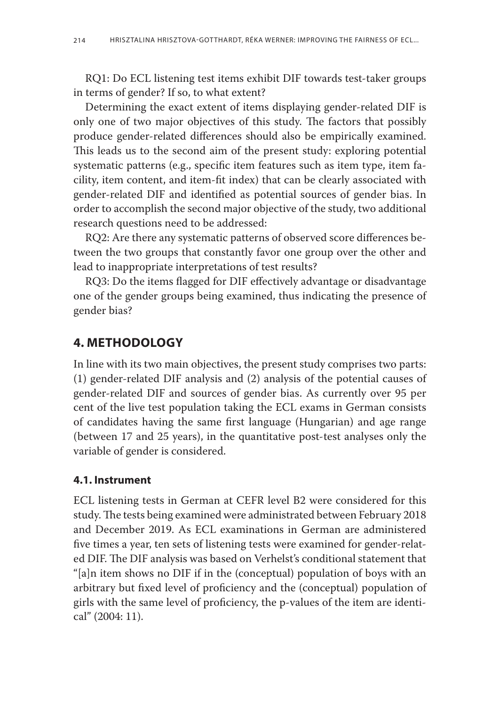RQ1: Do ECL listening test items exhibit DIF towards test-taker groups in terms of gender? If so, to what extent?

Determining the exact extent of items displaying gender-related DIF is only one of two major objectives of this study. The factors that possibly produce gender-related differences should also be empirically examined. This leads us to the second aim of the present study: exploring potential systematic patterns (e.g., specific item features such as item type, item facility, item content, and item-fit index) that can be clearly associated with gender-related DIF and identified as potential sources of gender bias. In order to accomplish the second major objective of the study, two additional research questions need to be addressed:

RQ2: Are there any systematic patterns of observed score differences between the two groups that constantly favor one group over the other and lead to inappropriate interpretations of test results?

RQ3: Do the items flagged for DIF effectively advantage or disadvantage one of the gender groups being examined, thus indicating the presence of gender bias?

## **4. Methodology**

In line with its two main objectives, the present study comprises two parts: (1) gender-related DIF analysis and (2) analysis of the potential causes of gender-related DIF and sources of gender bias. As currently over 95 per cent of the live test population taking the ECL exams in German consists of candidates having the same first language (Hungarian) and age range (between 17 and 25 years), in the quantitative post-test analyses only the variable of gender is considered.

## **4.1. Instrument**

ECL listening tests in German at CEFR level B2 were considered for this study. The tests being examined were administrated between February 2018 and December 2019. As ECL examinations in German are administered five times a year, ten sets of listening tests were examined for gender-related DIF. The DIF analysis was based on Verhelst's conditional statement that "[a]n item shows no DIF if in the (conceptual) population of boys with an arbitrary but fixed level of proficiency and the (conceptual) population of girls with the same level of proficiency, the p-values of the item are identical" (2004: 11).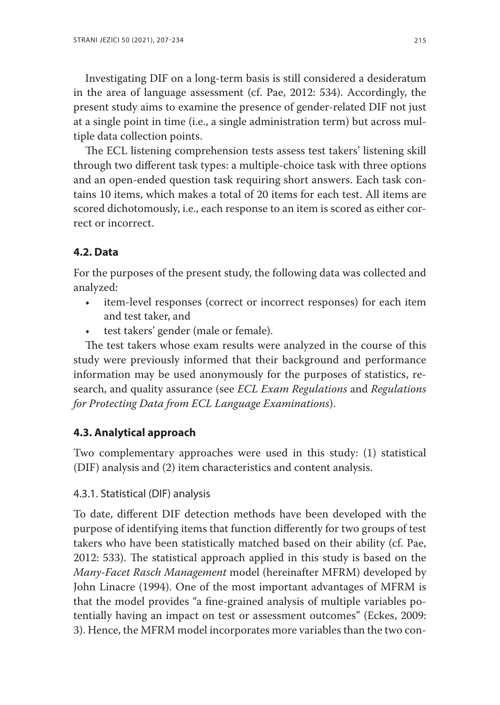Investigating DIF on a long-term basis is still considered a desideratum in the area of language assessment (cf. Pae, 2012: 534). Accordingly, the present study aims to examine the presence of gender-related DIF not just at a single point in time (i.e., a single administration term) but across multiple data collection points.

The ECL listening comprehension tests assess test takers' listening skill through two different task types: a multiple-choice task with three options and an open-ended question task requiring short answers. Each task contains 10 items, which makes a total of 20 items for each test. All items are scored dichotomously, i.e., each response to an item is scored as either correct or incorrect.

## **4.2. Data**

For the purposes of the present study, the following data was collected and analyzed:

- • item-level responses (correct or incorrect responses) for each item and test taker, and
- test takers' gender (male or female).

The test takers whose exam results were analyzed in the course of this study were previously informed that their background and performance information may be used anonymously for the purposes of statistics, research, and quality assurance (see *ECL Exam Regulations* and *Regulations for Protecting Data from ECL Language Examinations*).

## **4.3. Analytical approach**

Two complementary approaches were used in this study: (1) statistical (DIF) analysis and (2) item characteristics and content analysis.

## 4.3.1. Statistical (DIF) analysis

To date, different DIF detection methods have been developed with the purpose of identifying items that function differently for two groups of test takers who have been statistically matched based on their ability (cf. Pae, 2012: 533). The statistical approach applied in this study is based on the *Many-Facet Rasch Management* model (hereinafter MFRM) developed by John Linacre (1994). One of the most important advantages of MFRM is that the model provides "a fine-grained analysis of multiple variables potentially having an impact on test or assessment outcomes" (Eckes, 2009: 3). Hence, the MFRM model incorporates more variables than the two con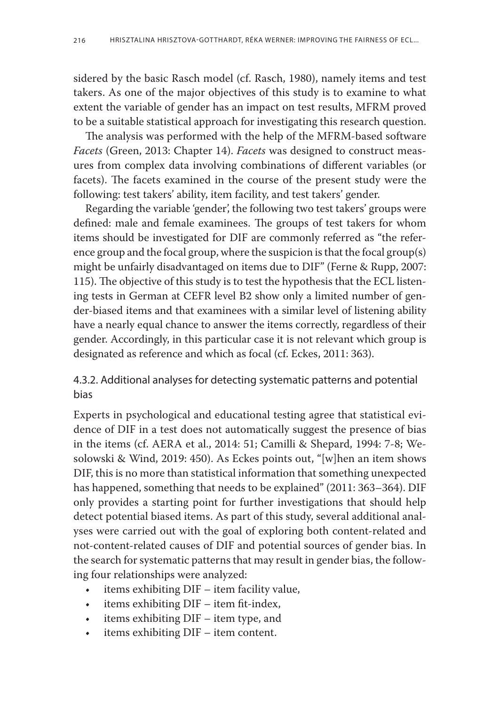sidered by the basic Rasch model (cf. Rasch, 1980), namely items and test takers. As one of the major objectives of this study is to examine to what extent the variable of gender has an impact on test results, MFRM proved to be a suitable statistical approach for investigating this research question.

The analysis was performed with the help of the MFRM-based software *Facets* (Green, 2013: Chapter 14). *Facets* was designed to construct measures from complex data involving combinations of different variables (or facets). The facets examined in the course of the present study were the following: test takers' ability, item facility, and test takers' gender.

Regarding the variable 'gender', the following two test takers' groups were defined: male and female examinees. The groups of test takers for whom items should be investigated for DIF are commonly referred as "the reference group and the focal group, where the suspicion is that the focal group(s) might be unfairly disadvantaged on items due to DIF" (Ferne & Rupp, 2007: 115). The objective of this study is to test the hypothesis that the ECL listening tests in German at CEFR level B2 show only a limited number of gender-biased items and that examinees with a similar level of listening ability have a nearly equal chance to answer the items correctly, regardless of their gender. Accordingly, in this particular case it is not relevant which group is designated as reference and which as focal (cf. Eckes, 2011: 363).

## 4.3.2. Additional analyses for detecting systematic patterns and potential bias

Experts in psychological and educational testing agree that statistical evidence of DIF in a test does not automatically suggest the presence of bias in the items (cf. AERA et al., 2014: 51; Camilli & Shepard, 1994: 7-8; Wesolowski & Wind, 2019: 450). As Eckes points out, "[w]hen an item shows DIF, this is no more than statistical information that something unexpected has happened, something that needs to be explained" (2011: 363–364). DIF only provides a starting point for further investigations that should help detect potential biased items. As part of this study, several additional analyses were carried out with the goal of exploring both content-related and not-content-related causes of DIF and potential sources of gender bias. In the search for systematic patterns that may result in gender bias, the following four relationships were analyzed:

- • items exhibiting DIF item facility value,
- $\cdot$  items exhibiting DIF item fit-index,
- • items exhibiting DIF item type, and
- • items exhibiting DIF item content.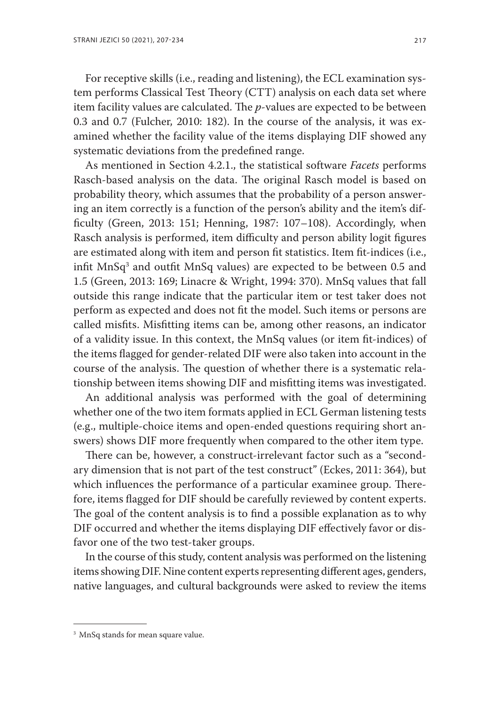For receptive skills (i.e., reading and listening), the ECL examination system performs Classical Test Theory (CTT) analysis on each data set where item facility values are calculated. The *p*-values are expected to be between 0.3 and 0.7 (Fulcher, 2010: 182). In the course of the analysis, it was examined whether the facility value of the items displaying DIF showed any systematic deviations from the predefined range.

As mentioned in Section 4.2.1., the statistical software *Facets* performs Rasch-based analysis on the data. The original Rasch model is based on probability theory, which assumes that the probability of a person answering an item correctly is a function of the person's ability and the item's difficulty (Green, 2013: 151; Henning, 1987: 107–108). Accordingly, when Rasch analysis is performed, item difficulty and person ability logit figures are estimated along with item and person fit statistics. Item fit-indices (i.e., infit  $MnSq^3$  and outfit  $MnSq$  values) are expected to be between 0.5 and 1.5 (Green, 2013: 169; Linacre & Wright, 1994: 370). MnSq values that fall outside this range indicate that the particular item or test taker does not perform as expected and does not fit the model. Such items or persons are called misfits. Misfitting items can be, among other reasons, an indicator of a validity issue. In this context, the MnSq values (or item fit-indices) of the items flagged for gender-related DIF were also taken into account in the course of the analysis. The question of whether there is a systematic relationship between items showing DIF and misfitting items was investigated.

An additional analysis was performed with the goal of determining whether one of the two item formats applied in ECL German listening tests (e.g., multiple-choice items and open-ended questions requiring short answers) shows DIF more frequently when compared to the other item type.

There can be, however, a construct-irrelevant factor such as a "secondary dimension that is not part of the test construct" (Eckes, 2011: 364), but which influences the performance of a particular examinee group. Therefore, items flagged for DIF should be carefully reviewed by content experts. The goal of the content analysis is to find a possible explanation as to why DIF occurred and whether the items displaying DIF effectively favor or disfavor one of the two test-taker groups.

In the course of this study, content analysis was performed on the listening items showing DIF. Nine content experts representing different ages, genders, native languages, and cultural backgrounds were asked to review the items

<sup>&</sup>lt;sup>3</sup> MnSq stands for mean square value.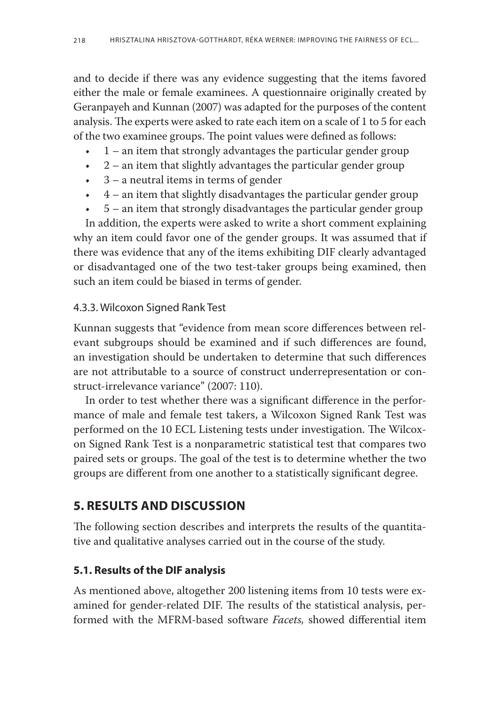and to decide if there was any evidence suggesting that the items favored either the male or female examinees. A questionnaire originally created by Geranpayeh and Kunnan (2007) was adapted for the purposes of the content analysis. The experts were asked to rate each item on a scale of 1 to 5 for each of the two examinee groups. The point values were defined as follows:

- $\cdot$  1 an item that strongly advantages the particular gender group
- $\cdot$  2 an item that slightly advantages the particular gender group
- $\cdot$  3 a neutral items in terms of gender
- $\cdot$  4 an item that slightly disadvantages the particular gender group
- $\cdot$  5 an item that strongly disadvantages the particular gender group

In addition, the experts were asked to write a short comment explaining why an item could favor one of the gender groups. It was assumed that if there was evidence that any of the items exhibiting DIF clearly advantaged or disadvantaged one of the two test-taker groups being examined, then such an item could be biased in terms of gender.

## 4.3.3. Wilcoxon Signed Rank Test

Kunnan suggests that "evidence from mean score differences between relevant subgroups should be examined and if such differences are found, an investigation should be undertaken to determine that such differences are not attributable to a source of construct underrepresentation or construct-irrelevance variance" (2007: 110).

In order to test whether there was a significant difference in the performance of male and female test takers, a Wilcoxon Signed Rank Test was performed on the 10 ECL Listening tests under investigation. The Wilcoxon Signed Rank Test is a nonparametric statistical test that compares two paired sets or groups. The goal of the test is to determine whether the two groups are different from one another to a statistically significant degree.

# **5. Results and Discussion**

The following section describes and interprets the results of the quantitative and qualitative analyses carried out in the course of the study.

## **5.1. Results of the DIF analysis**

As mentioned above, altogether 200 listening items from 10 tests were examined for gender-related DIF. The results of the statistical analysis, performed with the MFRM-based software *Facets,* showed differential item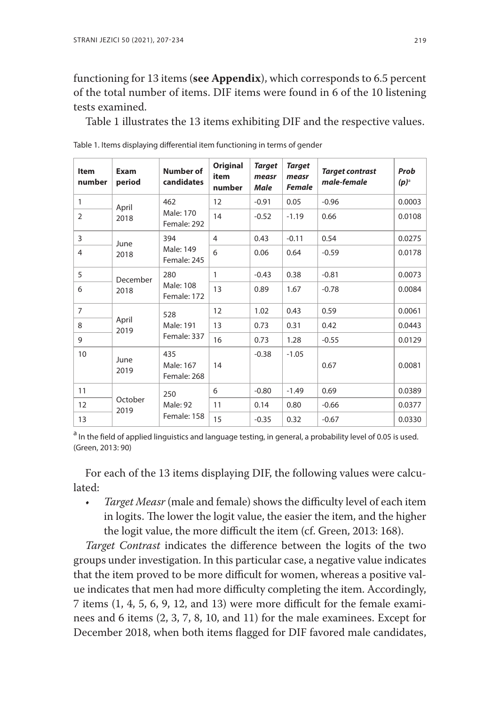## functioning for 13 items (**see Appendix**), which corresponds to 6.5 percent of the total number of items. DIF items were found in 6 of the 10 listening tests examined.

Table 1 illustrates the 13 items exhibiting DIF and the respective values.

| <b>Item</b><br>number | Exam<br>period  | Number of<br>candidates         | Original<br>item<br>number | <b>Target</b><br>measr<br><b>Male</b> | <b>Target</b><br>measr<br><b>Female</b> | <b>Target contrast</b><br>male-female | Prob<br>$(p)^{\circ}$ |
|-----------------------|-----------------|---------------------------------|----------------------------|---------------------------------------|-----------------------------------------|---------------------------------------|-----------------------|
| 1                     | April           | 462                             | 12                         | $-0.91$                               | 0.05                                    | $-0.96$                               | 0.0003                |
| $\overline{2}$        | 2018            | Male: 170<br>Female: 292        | 14                         | $-0.52$                               | $-1.19$                                 | 0.66                                  | 0.0108                |
| 3                     | June            | 394                             | 4                          | 0.43                                  | $-0.11$                                 | 0.54                                  | 0.0275                |
| 4                     | 2018            | Male: 149<br>Female: 245        | 6                          | 0.06                                  | 0.64                                    | $-0.59$                               | 0.0178                |
| 5                     | December        | 280                             | 1                          | $-0.43$                               | 0.38                                    | $-0.81$                               | 0.0073                |
| 6                     | 2018            | Male: 108<br>Female: 172        | 13                         | 0.89                                  | 1.67                                    | $-0.78$                               | 0.0084                |
| $\overline{7}$        |                 | 528                             | 12                         | 1.02                                  | 0.43                                    | 0.59                                  | 0.0061                |
| 8                     | April<br>2019   | Male: 191                       | 13                         | 0.73                                  | 0.31                                    | 0.42                                  | 0.0443                |
| 9                     |                 | Female: 337                     | 16                         | 0.73                                  | 1.28                                    | $-0.55$                               | 0.0129                |
| 10                    | June<br>2019    | 435<br>Male: 167<br>Female: 268 | 14                         | $-0.38$                               | $-1.05$                                 | 0.67                                  | 0.0081                |
| 11                    |                 | 250<br>Male: 92                 | 6                          | $-0.80$                               | $-1.49$                                 | 0.69                                  | 0.0389                |
| 12                    | October<br>2019 |                                 | 11                         | 0.14                                  | 0.80                                    | $-0.66$                               | 0.0377                |
| 13                    | Female: 158     |                                 | 15                         | $-0.35$                               | 0.32                                    | $-0.67$                               | 0.0330                |

Table 1. Items displaying differential item functioning in terms of gender

<sup>a</sup> In the field of applied linguistics and language testing, in general, a probability level of 0.05 is used. (Green, 2013: 90)

For each of the 13 items displaying DIF, the following values were calculated:

*• Target Measr* (male and female) shows the difficulty level of each item in logits. The lower the logit value, the easier the item, and the higher the logit value, the more difficult the item (cf. Green, 2013: 168).

*Target Contrast* indicates the difference between the logits of the two groups under investigation. In this particular case, a negative value indicates that the item proved to be more difficult for women, whereas a positive value indicates that men had more difficulty completing the item. Accordingly, 7 items (1, 4, 5, 6, 9, 12, and 13) were more difficult for the female examinees and 6 items (2, 3, 7, 8, 10, and 11) for the male examinees. Except for December 2018, when both items flagged for DIF favored male candidates,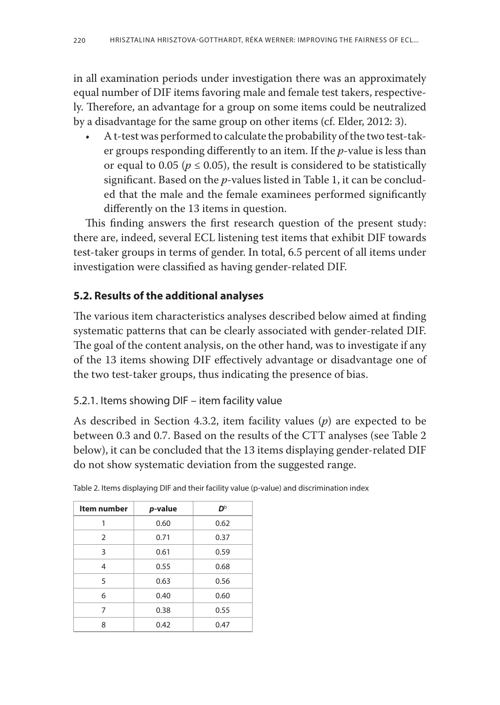in all examination periods under investigation there was an approximately equal number of DIF items favoring male and female test takers, respectively. Therefore, an advantage for a group on some items could be neutralized by a disadvantage for the same group on other items (cf. Elder, 2012: 3).

• A t-test was performed to calculate the probability of the two test-taker groups responding differently to an item. If the *p*-value is less than or equal to 0.05 ( $p \le 0.05$ ), the result is considered to be statistically significant. Based on the *p*-values listed in Table 1, it can be concluded that the male and the female examinees performed significantly differently on the 13 items in question.

This finding answers the first research question of the present study: there are, indeed, several ECL listening test items that exhibit DIF towards test-taker groups in terms of gender. In total, 6.5 percent of all items under investigation were classified as having gender-related DIF.

## **5.2. Results of the additional analyses**

The various item characteristics analyses described below aimed at finding systematic patterns that can be clearly associated with gender-related DIF. The goal of the content analysis, on the other hand, was to investigate if any of the 13 items showing DIF effectively advantage or disadvantage one of the two test-taker groups, thus indicating the presence of bias.

## 5.2.1. Items showing DIF – item facility value

As described in Section 4.3.2, item facility values (*p*) are expected to be between 0.3 and 0.7. Based on the results of the CTT analyses (see Table 2 below), it can be concluded that the 13 items displaying gender-related DIF do not show systematic deviation from the suggested range.

| Item number | p-value | Db   |
|-------------|---------|------|
| 1           | 0.60    | 0.62 |
| 2           | 0.71    | 0.37 |
| 3           | 0.61    | 0.59 |
| 4           | 0.55    | 0.68 |
| 5           | 0.63    | 0.56 |
| 6           | 0.40    | 0.60 |
| 7           | 0.38    | 0.55 |
| 8           | 0.42    | 0.47 |

Table 2. Items displaying DIF and their facility value (p-value) and discrimination index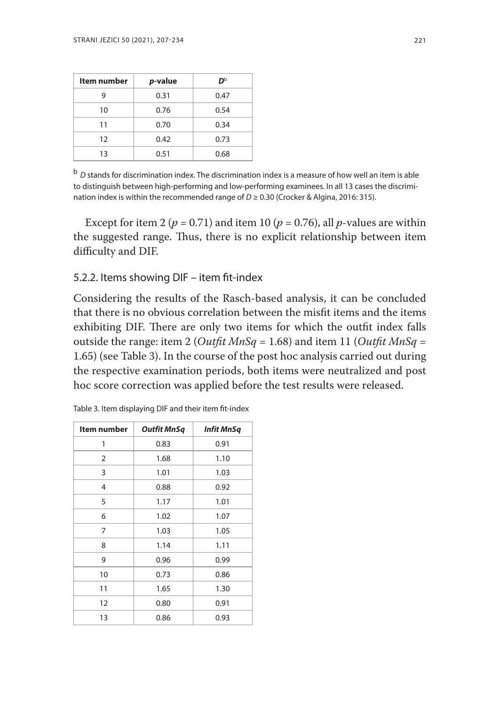| <b>Item number</b> | p-value | Db   |
|--------------------|---------|------|
| 9                  | 0.31    | 0.47 |
| 10                 | 0.76    | 0.54 |
| 11                 | 0.70    | 0.34 |
| 12                 | 0.42    | 0.73 |
| 13                 | 0.51    |      |

<sup>b</sup> *D* stands for discrimination index. The discrimination index is a measure of how well an item is able to distinguish between high-performing and low-performing examinees. In all 13 cases the discrimination index is within the recommended range of *D* ≥ 0.30 (Crocker & Algina, 2016: 315).

Except for item 2 ( $p = 0.71$ ) and item 10 ( $p = 0.76$ ), all  $p$ -values are within the suggested range. Thus, there is no explicit relationship between item difficulty and DIF.

#### 5.2.2. Items showing DIF – item fit-index

Considering the results of the Rasch-based analysis, it can be concluded that there is no obvious correlation between the misfit items and the items exhibiting DIF. There are only two items for which the outfit index falls outside the range: item 2 (*Outfit MnSq* = 1.68) and item 11 (*Outfit MnSq* = 1.65) (see Table 3). In the course of the post hoc analysis carried out during the respective examination periods, both items were neutralized and post hoc score correction was applied before the test results were released.

| Item number | <b>Outfit MnSq</b> | <b>Infit MnSq</b> |
|-------------|--------------------|-------------------|
| 1           | 0.83               | 0.91              |
| 2           | 1.68               | 1.10              |
| 3           | 1.01               | 1.03              |
| 4           | 0.88               | 0.92              |
| 5           | 1.17               | 1.01              |
| 6           | 1.02               | 1.07              |
| 7           | 1.03               | 1.05              |
| 8           | 1.14               | 1.11              |
| 9           | 0.96               | 0.99              |
| 10          | 0.73               | 0.86              |
| 11          | 1.65               | 1.30              |
| 12          | 0.80               |                   |
| 13          | 0.86               | 0.93              |

Table 3. Item displaying DIF and their item fit-index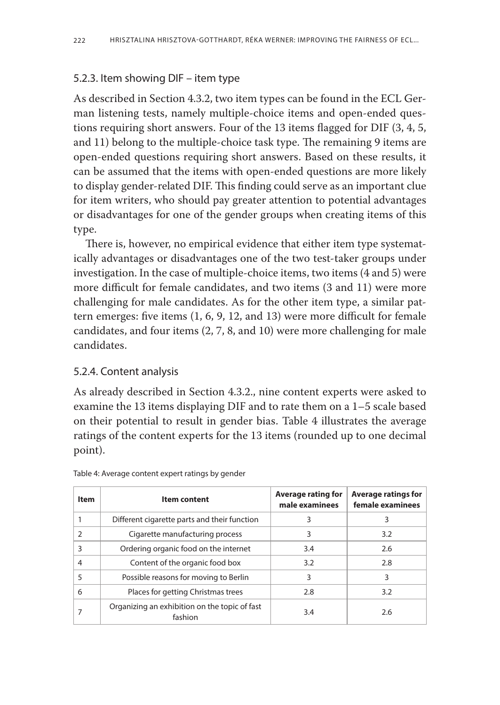## 5.2.3. Item showing DIF – item type

As described in Section 4.3.2, two item types can be found in the ECL German listening tests, namely multiple-choice items and open-ended questions requiring short answers. Four of the 13 items flagged for DIF (3, 4, 5, and 11) belong to the multiple-choice task type. The remaining 9 items are open-ended questions requiring short answers. Based on these results, it can be assumed that the items with open-ended questions are more likely to display gender-related DIF. This finding could serve as an important clue for item writers, who should pay greater attention to potential advantages or disadvantages for one of the gender groups when creating items of this type.

There is, however, no empirical evidence that either item type systematically advantages or disadvantages one of the two test-taker groups under investigation. In the case of multiple-choice items, two items (4 and 5) were more difficult for female candidates, and two items (3 and 11) were more challenging for male candidates. As for the other item type, a similar pattern emerges: five items (1, 6, 9, 12, and 13) were more difficult for female candidates, and four items (2, 7, 8, and 10) were more challenging for male candidates.

## 5.2.4. Content analysis

As already described in Section 4.3.2., nine content experts were asked to examine the 13 items displaying DIF and to rate them on a 1–5 scale based on their potential to result in gender bias. Table 4 illustrates the average ratings of the content experts for the 13 items (rounded up to one decimal point).

| Item | <b>Item content</b>                                      | <b>Average rating for</b><br>male examinees | <b>Average ratings for</b><br>female examinees |
|------|----------------------------------------------------------|---------------------------------------------|------------------------------------------------|
|      | Different cigarette parts and their function             | 3                                           | 3                                              |
|      | Cigarette manufacturing process                          | 3                                           | 3.2                                            |
| 3    | Ordering organic food on the internet                    | 3.4                                         | 2.6                                            |
| 4    | Content of the organic food box                          | 3.2                                         | 2.8                                            |
| 5    | Possible reasons for moving to Berlin                    | 3                                           | 3                                              |
| 6    | Places for getting Christmas trees                       | 2.8                                         | 3.2                                            |
|      | Organizing an exhibition on the topic of fast<br>fashion | 3.4                                         | 2.6                                            |

Table 4: Average content expert ratings by gender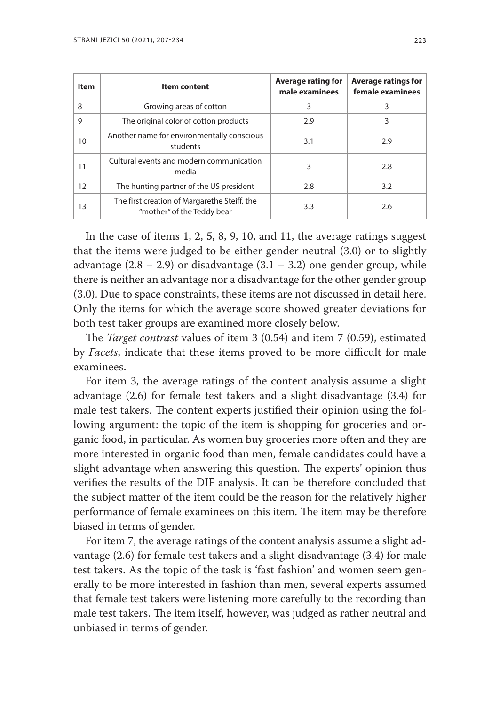| <b>Item</b> | <b>Item content</b>                                                        | <b>Average rating for</b><br>male examinees | <b>Average ratings for</b><br>female examinees |
|-------------|----------------------------------------------------------------------------|---------------------------------------------|------------------------------------------------|
| 8           | Growing areas of cotton                                                    | 3                                           | 3                                              |
| 9           | The original color of cotton products                                      | 2.9                                         | 3                                              |
| 10          | Another name for environmentally conscious<br>students                     | 3.1                                         | 2.9                                            |
| 11          | Cultural events and modern communication<br>media                          | 3                                           | 2.8                                            |
| 12          | The hunting partner of the US president                                    | 2.8                                         | 3.2                                            |
| 13          | The first creation of Margarethe Steiff, the<br>"mother" of the Teddy bear | 3.3                                         | 2.6                                            |

In the case of items 1, 2, 5, 8, 9, 10, and 11, the average ratings suggest that the items were judged to be either gender neutral (3.0) or to slightly advantage  $(2.8 - 2.9)$  or disadvantage  $(3.1 - 3.2)$  one gender group, while there is neither an advantage nor a disadvantage for the other gender group (3.0). Due to space constraints, these items are not discussed in detail here. Only the items for which the average score showed greater deviations for both test taker groups are examined more closely below.

The *Target contrast* values of item 3 (0.54) and item 7 (0.59), estimated by *Facets*, indicate that these items proved to be more difficult for male examinees.

For item 3, the average ratings of the content analysis assume a slight advantage (2.6) for female test takers and a slight disadvantage (3.4) for male test takers. The content experts justified their opinion using the following argument: the topic of the item is shopping for groceries and organic food, in particular. As women buy groceries more often and they are more interested in organic food than men, female candidates could have a slight advantage when answering this question. The experts' opinion thus verifies the results of the DIF analysis. It can be therefore concluded that the subject matter of the item could be the reason for the relatively higher performance of female examinees on this item. The item may be therefore biased in terms of gender.

For item 7, the average ratings of the content analysis assume a slight advantage (2.6) for female test takers and a slight disadvantage (3.4) for male test takers. As the topic of the task is 'fast fashion' and women seem generally to be more interested in fashion than men, several experts assumed that female test takers were listening more carefully to the recording than male test takers. The item itself, however, was judged as rather neutral and unbiased in terms of gender.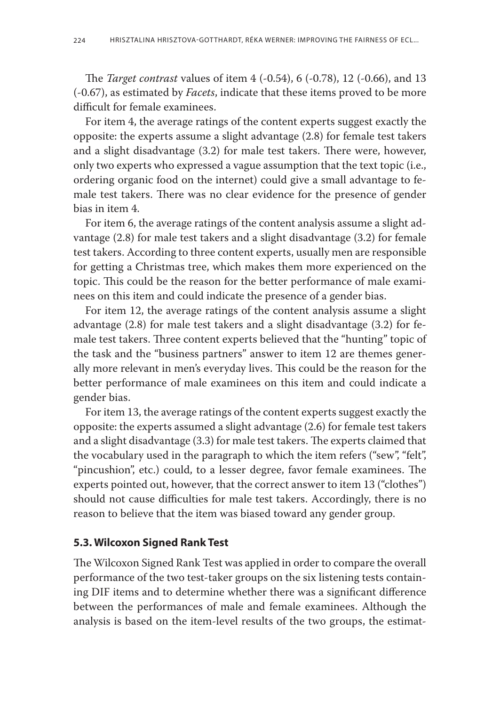The *Target contrast* values of item 4 (-0.54), 6 (-0.78), 12 (-0.66), and 13 (-0.67), as estimated by *Facets*, indicate that these items proved to be more difficult for female examinees.

For item 4, the average ratings of the content experts suggest exactly the opposite: the experts assume a slight advantage (2.8) for female test takers and a slight disadvantage (3.2) for male test takers. There were, however, only two experts who expressed a vague assumption that the text topic (i.e., ordering organic food on the internet) could give a small advantage to female test takers. There was no clear evidence for the presence of gender bias in item 4.

For item 6, the average ratings of the content analysis assume a slight advantage (2.8) for male test takers and a slight disadvantage (3.2) for female test takers. According to three content experts, usually men are responsible for getting a Christmas tree, which makes them more experienced on the topic. This could be the reason for the better performance of male examinees on this item and could indicate the presence of a gender bias.

For item 12, the average ratings of the content analysis assume a slight advantage (2.8) for male test takers and a slight disadvantage (3.2) for female test takers. Three content experts believed that the "hunting" topic of the task and the "business partners" answer to item 12 are themes generally more relevant in men's everyday lives. This could be the reason for the better performance of male examinees on this item and could indicate a gender bias.

For item 13, the average ratings of the content experts suggest exactly the opposite: the experts assumed a slight advantage (2.6) for female test takers and a slight disadvantage (3.3) for male test takers. The experts claimed that the vocabulary used in the paragraph to which the item refers ("sew", "felt", "pincushion", etc.) could, to a lesser degree, favor female examinees. The experts pointed out, however, that the correct answer to item 13 ("clothes") should not cause difficulties for male test takers. Accordingly, there is no reason to believe that the item was biased toward any gender group.

#### **5.3. Wilcoxon Signed Rank Test**

The Wilcoxon Signed Rank Test was applied in order to compare the overall performance of the two test-taker groups on the six listening tests containing DIF items and to determine whether there was a significant difference between the performances of male and female examinees. Although the analysis is based on the item-level results of the two groups, the estimat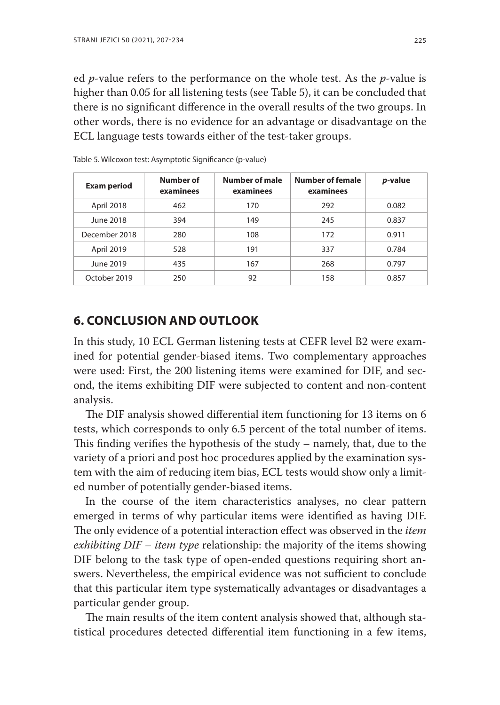ed *p*-value refers to the performance on the whole test. As the *p*-value is higher than 0.05 for all listening tests (see Table 5), it can be concluded that there is no significant difference in the overall results of the two groups. In other words, there is no evidence for an advantage or disadvantage on the ECL language tests towards either of the test-taker groups.

| <b>Exam period</b> | Number of<br>examinees | Number of male<br>examinees | <b>Number of female</b><br>examinees | p-value |
|--------------------|------------------------|-----------------------------|--------------------------------------|---------|
| April 2018         | 462                    | 170                         | 292                                  | 0.082   |
| June 2018          | 394                    | 149                         | 245                                  | 0.837   |
| December 2018      | 280                    | 108                         | 172                                  | 0.911   |
| April 2019         | 528                    | 191                         | 337                                  | 0.784   |
| June 2019          | 435                    | 167                         | 268                                  | 0.797   |
| October 2019       | 250                    | 92                          | 158                                  | 0.857   |

Table 5. Wilcoxon test: Asymptotic Significance (p-value)

## **6. Conclusion and outlook**

In this study, 10 ECL German listening tests at CEFR level B2 were examined for potential gender-biased items. Two complementary approaches were used: First, the 200 listening items were examined for DIF, and second, the items exhibiting DIF were subjected to content and non-content analysis.

The DIF analysis showed differential item functioning for 13 items on 6 tests, which corresponds to only 6.5 percent of the total number of items. This finding verifies the hypothesis of the study – namely, that, due to the variety of a priori and post hoc procedures applied by the examination system with the aim of reducing item bias, ECL tests would show only a limited number of potentially gender-biased items.

In the course of the item characteristics analyses, no clear pattern emerged in terms of why particular items were identified as having DIF. The only evidence of a potential interaction effect was observed in the *item exhibiting DIF – item type* relationship: the majority of the items showing DIF belong to the task type of open-ended questions requiring short answers. Nevertheless, the empirical evidence was not sufficient to conclude that this particular item type systematically advantages or disadvantages a particular gender group.

The main results of the item content analysis showed that, although statistical procedures detected differential item functioning in a few items,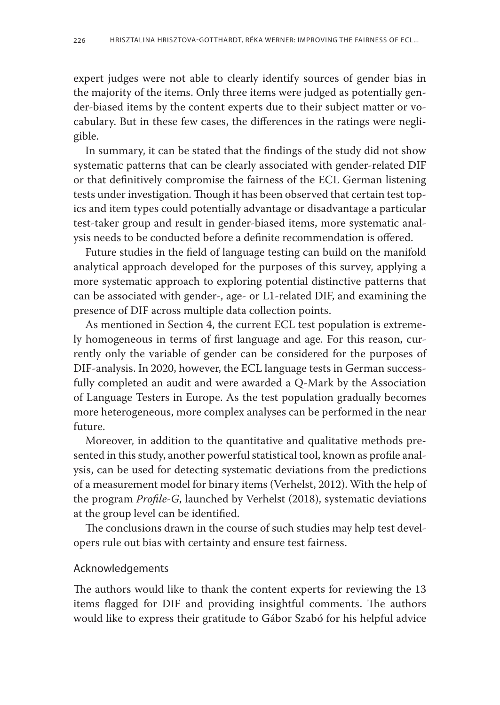expert judges were not able to clearly identify sources of gender bias in the majority of the items. Only three items were judged as potentially gender-biased items by the content experts due to their subject matter or vocabulary. But in these few cases, the differences in the ratings were negligible.

In summary, it can be stated that the findings of the study did not show systematic patterns that can be clearly associated with gender-related DIF or that definitively compromise the fairness of the ECL German listening tests under investigation. Though it has been observed that certain test topics and item types could potentially advantage or disadvantage a particular test-taker group and result in gender-biased items, more systematic analysis needs to be conducted before a definite recommendation is offered.

Future studies in the field of language testing can build on the manifold analytical approach developed for the purposes of this survey, applying a more systematic approach to exploring potential distinctive patterns that can be associated with gender-, age- or L1-related DIF, and examining the presence of DIF across multiple data collection points.

As mentioned in Section 4, the current ECL test population is extremely homogeneous in terms of first language and age. For this reason, currently only the variable of gender can be considered for the purposes of DIF-analysis. In 2020, however, the ECL language tests in German successfully completed an audit and were awarded a Q-Mark by the Association of Language Testers in Europe. As the test population gradually becomes more heterogeneous, more complex analyses can be performed in the near future.

Moreover, in addition to the quantitative and qualitative methods presented in this study, another powerful statistical tool, known as profile analysis, can be used for detecting systematic deviations from the predictions of a measurement model for binary items (Verhelst, 2012). With the help of the program *Profile-G*, launched by Verhelst (2018), systematic deviations at the group level can be identified.

The conclusions drawn in the course of such studies may help test developers rule out bias with certainty and ensure test fairness.

#### Acknowledgements

The authors would like to thank the content experts for reviewing the 13 items flagged for DIF and providing insightful comments. The authors would like to express their gratitude to Gábor Szabó for his helpful advice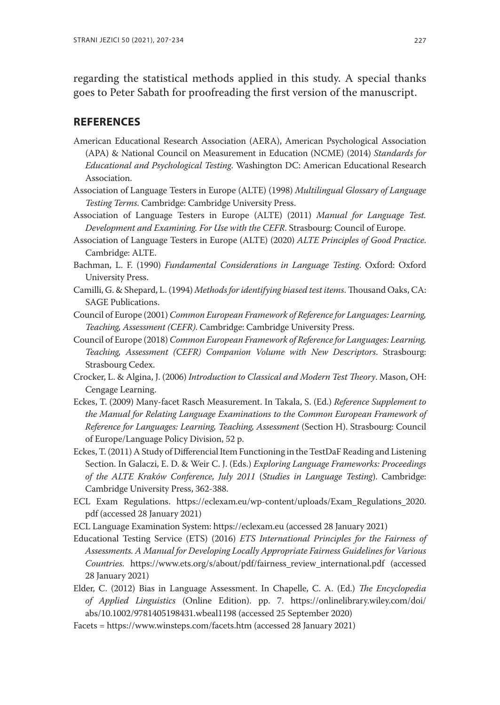regarding the statistical methods applied in this study. A special thanks goes to Peter Sabath for proofreading the first version of the manuscript.

#### **References**

- American Educational Research Association (AERA), American Psychological Association (APA) & National Council on Measurement in Education (NCME) (2014) *Standards for Educational and Psychological Testing*. Washington DC: American Educational Research Association.
- Association of Language Testers in Europe (ALTE) (1998) *Multilingual Glossary of Language Testing Terms*. Cambridge: Cambridge University Press.
- Association of Language Testers in Europe (ALTE) (2011) *Manual for Language Test. Development and Examining. For Use with the CEFR*. Strasbourg: Council of Europe.
- Association of Language Testers in Europe (ALTE) (2020) *ALTE Principles of Good Practice*. Cambridge: ALTE.
- Bachman, L. F. (1990) *Fundamental Considerations in Language Testing*. Oxford: Oxford University Press.
- Camilli, G. & Shepard, L. (1994) *Methods for identifying biased test items*. Thousand Oaks, CA: SAGE Publications.
- Council of Europe (2001) *Common European Framework of Reference for Languages: Learning, Teaching, Assessment (CEFR)*. Cambridge: Cambridge University Press.
- Council of Europe (2018) *Common European Framework of Reference for Languages: Learning, Teaching, Assessment (CEFR) Companion Volume with New Descriptors*. Strasbourg: Strasbourg Cedex.
- Crocker, L. & Algina, J. (2006) *Introduction to Classical and Modern Test Theory*. Mason, OH: Cengage Learning.
- Eckes, T. (2009) Many-facet Rasch Measurement. In Takala, S. (Ed.) *Reference Supplement to the Manual for Relating Language Examinations to the Common European Framework of Reference for Languages: Learning, Teaching, Assessment* (Section H). Strasbourg: Council of Europe/Language Policy Division, 52 p.
- Eckes, T. (2011) A Study of Differencial Item Functioning in the TestDaF Reading and Listening Section. In Galaczi, E. D. & Weir C. J. (Eds.) *Exploring Language Frameworks: Proceedings of the ALTE Kraków Conference, July 2011* (*Studies in Language Testing*). Cambridge: Cambridge University Press, 362-388.
- ECL Exam Regulations. https://eclexam.eu/wp-content/uploads/Exam\_Regulations\_2020. pdf (accessed 28 January 2021)
- ECL Language Examination System: https://eclexam.eu (accessed 28 January 2021)
- Educational Testing Service (ETS) (2016) *ETS International Principles for the Fairness of Assessments. A Manual for Developing Locally Appropriate Fairness Guidelines for Various Countries*. https://www.ets.org/s/about/pdf/fairness\_review\_international.pdf (accessed 28 January 2021)
- Elder, C. (2012) Bias in Language Assessment. In Chapelle, C. A. (Ed.) *The Encyclopedia of Applied Linguistics* (Online Edition). pp. 7. https://onlinelibrary.wiley.com/doi/ abs/10.1002/9781405198431.wbeal1198 (accessed 25 September 2020)
- Facets = https://www.winsteps.com/facets.htm (accessed 28 January 2021)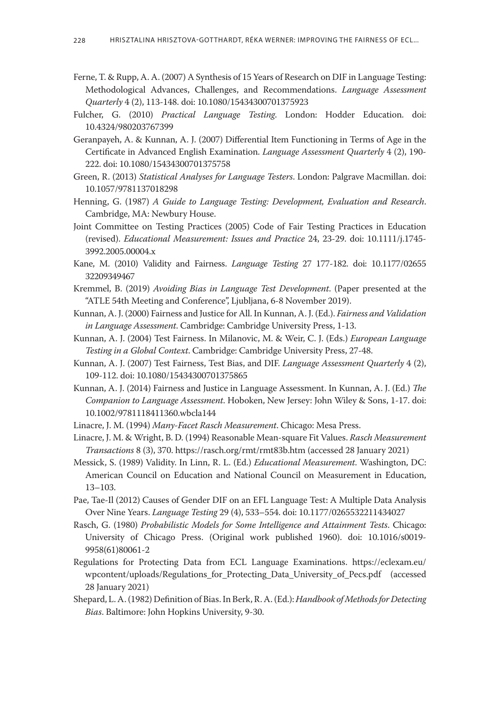- Ferne, T. & Rupp, A. A. (2007) A Synthesis of 15 Years of Research on DIF in Language Testing: Methodological Advances, Challenges, and Recommendations. *Language Assessment Quarterly* 4 (2), 113-148. doi: 10.1080/15434300701375923
- Fulcher, G. (2010) *Practical Language Testing*. London: Hodder Education. doi: 10.4324/980203767399
- Geranpayeh, A. & Kunnan, A. J. (2007) Differential Item Functioning in Terms of Age in the Certificate in Advanced English Examination. *Language Assessment Quarterly* 4 (2), 190- 222. doi: 10.1080/15434300701375758
- Green, R. (2013) *Statistical Analyses for Language Testers*. London: Palgrave Macmillan. doi: 10.1057/9781137018298
- Henning, G. (1987) *A Guide to Language Testing: Development, Evaluation and Research*. Cambridge, MA: Newbury House.
- Joint Committee on Testing Practices (2005) Code of Fair Testing Practices in Education (revised). *Educational Measurement: Issues and Practice* 24, 23-29. doi: 10.1111/j.1745- 3992.2005.00004.x
- Kane, M. (2010) Validity and Fairness. *Language Testing* 27 177-182. doi: 10.1177/02655 32209349467
- Kremmel, B. (2019) *Avoiding Bias in Language Test Development*. (Paper presented at the "ATLE 54th Meeting and Conference", Ljubljana, 6-8 November 2019).
- Kunnan, A. J. (2000) Fairness and Justice for All. In Kunnan, A. J. (Ed.). *Fairness and Validation in Language Assessment*. Cambridge: Cambridge University Press, 1-13.
- Kunnan, A. J. (2004) Test Fairness. In Milanovic, M. & Weir, C. J. (Eds.) *European Language Testing in a Global Context*. Cambridge: Cambridge University Press, 27-48.
- Kunnan, A. J. (2007) Test Fairness, Test Bias, and DIF. *Language Assessment Quarterly* 4 (2), 109-112. doi: 10.1080/15434300701375865
- Kunnan, A. J. (2014) Fairness and Justice in Language Assessment. In Kunnan, A. J. (Ed.) *The Companion to Language Assessment*. Hoboken, New Jersey: John Wiley & Sons, 1-17. doi: 10.1002/9781118411360.wbcla144

Linacre, J. M. (1994) *Many-Facet Rasch Measurement*. Chicago: Mesa Press.

- Linacre, J. M. & Wright, B. D. (1994) Reasonable Mean-square Fit Values. *Rasch Measurement Transactions* 8 (3), 370. https://rasch.org/rmt/rmt83b.htm (accessed 28 January 2021)
- Messick, S. (1989) Validity. In Linn, R. L. (Ed.) *Educational Measurement*. Washington, DC: American Council on Education and National Council on Measurement in Education, 13–103.
- Pae, Tae-Il (2012) Causes of Gender DIF on an EFL Language Test: A Multiple Data Analysis Over Nine Years. *Language Testing* 29 (4), 533–554. doi: 10.1177/0265532211434027
- Rasch, G. (1980) *Probabilistic Models for Some Intelligence and Attainment Tests*. Chicago: University of Chicago Press. (Original work published 1960). doi: 10.1016/s0019- 9958(61)80061-2
- Regulations for Protecting Data from ECL Language Examinations. https://eclexam.eu/ wpcontent/uploads/Regulations\_for\_Protecting\_Data\_University\_of\_Pecs.pdf (accessed 28 January 2021)
- Shepard, L. A. (1982) Definition of Bias. In Berk, R. A. (Ed.): *Handbook of Methods for Detecting Bias*. Baltimore: John Hopkins University, 9-30.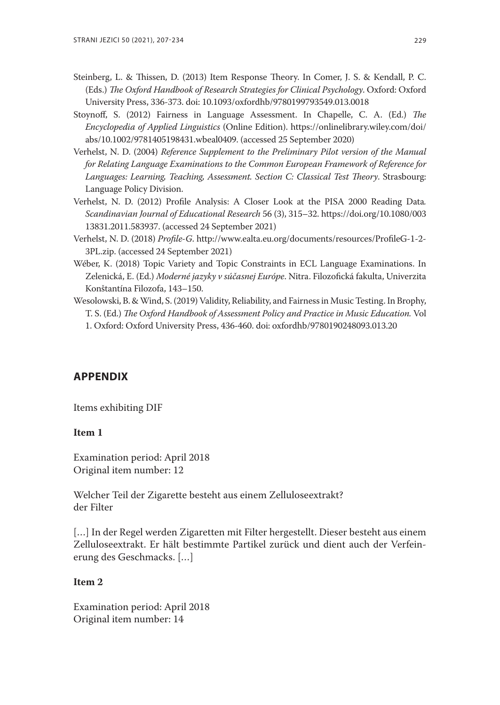- Steinberg, L. & Thissen, D. (2013) Item Response Theory. In Comer, J. S. & Kendall, P. C. (Eds.) *The Oxford Handbook of Research Strategies for Clinical Psychology*. Oxford: Oxford University Press, 336-373. doi: 10.1093/oxfordhb/9780199793549.013.0018
- Stoynoff, S. (2012) Fairness in Language Assessment. In Chapelle, C. A. (Ed.) *The Encyclopedia of Applied Linguistics* (Online Edition). https://onlinelibrary.wiley.com/doi/ abs/10.1002/9781405198431.wbeal0409. (accessed 25 September 2020)
- Verhelst, N. D. (2004) *Reference Supplement to the Preliminary Pilot version of the Manual for Relating Language Examinations to the Common European Framework of Reference for Languages: Learning, Teaching, Assessment. Section C: Classical Test Theory*. Strasbourg: Language Policy Division.
- Verhelst, N. D. (2012) Profile Analysis: A Closer Look at the PISA 2000 Reading Data*. Scandinavian Journal of Educational Research* 56 (3), 315–32. https://doi.org/10.1080/003 13831.2011.583937. (accessed 24 September 2021)
- Verhelst, N. D. (2018) *Profile-G*. http://www.ealta.eu.org/documents/resources/ProfileG-1-2- 3PL.zip. (accessed 24 September 2021)
- Wéber, K. (2018) Topic Variety and Topic Constraints in ECL Language Examinations. In Zelenická, E. (Ed.) *Moderné jazyky v súčasnej Európe*. Nitra. Filozofická fakulta, Univerzita Konštantína Filozofa, 143–150.
- Wesolowski, B. & Wind, S. (2019) Validity, Reliability, and Fairness in Music Testing. In Brophy, T. S. (Ed.) *The Oxford Handbook of Assessment Policy and Practice in Music Education.* Vol 1. Oxford: Oxford University Press, 436-460. doi: oxfordhb/9780190248093.013.20

#### **Appendix**

Items exhibiting DIF

#### **Item 1**

Examination period: April 2018 Original item number: 12

Welcher Teil der Zigarette besteht aus einem Zelluloseextrakt? der Filter

[...] In der Regel werden Zigaretten mit Filter hergestellt. Dieser besteht aus einem Zelluloseextrakt. Er hält bestimmte Partikel zurück und dient auch der Verfeinerung des Geschmacks. […]

#### **Item 2**

Examination period: April 2018 Original item number: 14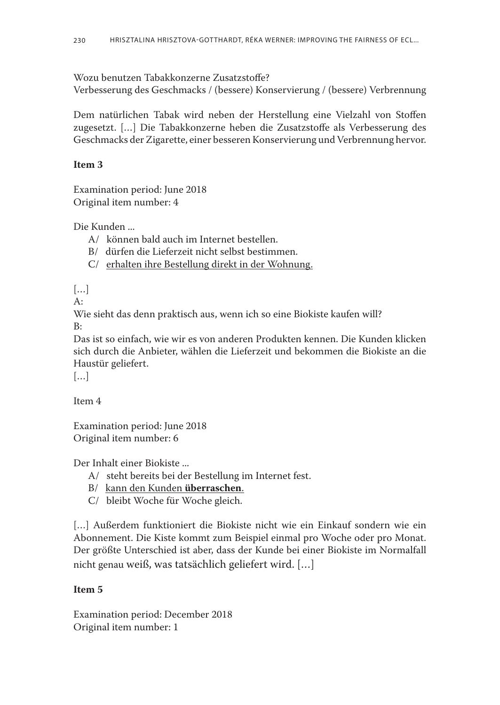Wozu benutzen Tabakkonzerne Zusatzstoffe?

Verbesserung des Geschmacks / (bessere) Konservierung / (bessere) Verbrennung

Dem natürlichen Tabak wird neben der Herstellung eine Vielzahl von Stoffen zugesetzt. […] Die Tabakkonzerne heben die Zusatzstoffe als Verbesserung des Geschmacks der Zigarette, einer besseren Konservierung und Verbrennung hervor.

#### **Item 3**

Examination period: June 2018 Original item number: 4

Die Kunden ...

- A/ können bald auch im Internet bestellen.
- B/ dürfen die Lieferzeit nicht selbst bestimmen.
- C/ erhalten ihre Bestellung direkt in der Wohnung.

[…]

 $A:$ 

Wie sieht das denn praktisch aus, wenn ich so eine Biokiste kaufen will? B:

Das ist so einfach, wie wir es von anderen Produkten kennen. Die Kunden klicken sich durch die Anbieter, wählen die Lieferzeit und bekommen die Biokiste an die Haustür geliefert.

 $[...]$ 

Item 4

Examination period: June 2018 Original item number: 6

Der Inhalt einer Biokiste ...

- A/ steht bereits bei der Bestellung im Internet fest.
- B/ kann den Kunden **überraschen**.
- C/ bleibt Woche für Woche gleich.

[...] Außerdem funktioniert die Biokiste nicht wie ein Einkauf sondern wie ein Abonnement. Die Kiste kommt zum Beispiel einmal pro Woche oder pro Monat. Der größte Unterschied ist aber, dass der Kunde bei einer Biokiste im Normalfall nicht genau weiß, was tatsächlich geliefert wird. […]

## **Item 5**

Examination period: December 2018 Original item number: 1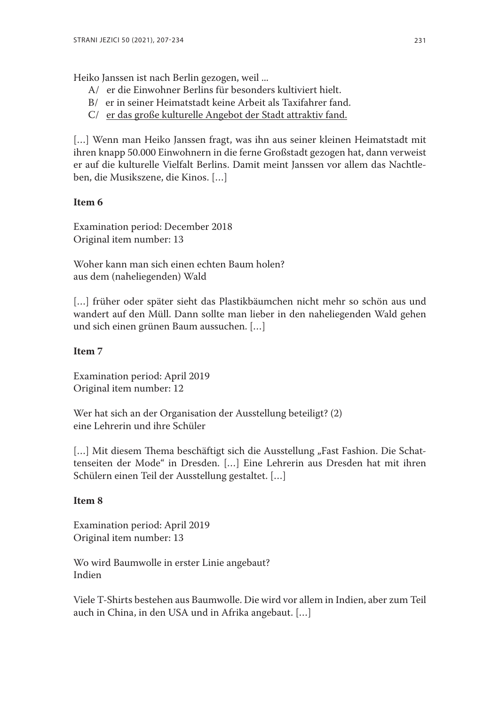Heiko Janssen ist nach Berlin gezogen, weil ...

- A/ er die Einwohner Berlins für besonders kultiviert hielt.
- B/ er in seiner Heimatstadt keine Arbeit als Taxifahrer fand.
- C/ er das große kulturelle Angebot der Stadt attraktiv fand.

[...] Wenn man Heiko Janssen fragt, was ihn aus seiner kleinen Heimatstadt mit ihren knapp 50.000 Einwohnern in die ferne Großstadt gezogen hat, dann verweist er auf die kulturelle Vielfalt Berlins. Damit meint Janssen vor allem das Nachtleben, die Musikszene, die Kinos. […]

#### **Item 6**

Examination period: December 2018 Original item number: 13

Woher kann man sich einen echten Baum holen? aus dem (naheliegenden) Wald

[...] früher oder später sieht das Plastikbäumchen nicht mehr so schön aus und wandert auf den Müll. Dann sollte man lieber in den naheliegenden Wald gehen und sich einen grünen Baum aussuchen. […]

#### **Item 7**

Examination period: April 2019 Original item number: 12

Wer hat sich an der Organisation der Ausstellung beteiligt? (2) eine Lehrerin und ihre Schüler

[...] Mit diesem Thema beschäftigt sich die Ausstellung "Fast Fashion. Die Schattenseiten der Mode" in Dresden. […] Eine Lehrerin aus Dresden hat mit ihren Schülern einen Teil der Ausstellung gestaltet. […]

#### **Item 8**

Examination period: April 2019 Original item number: 13

Wo wird Baumwolle in erster Linie angebaut? Indien

Viele T-Shirts bestehen aus Baumwolle. Die wird vor allem in Indien, aber zum Teil auch in China, in den USA und in Afrika angebaut. […]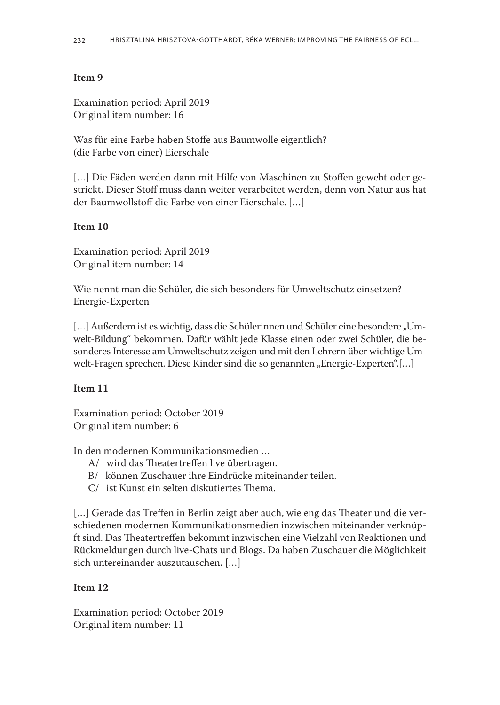#### **Item 9**

Examination period: April 2019 Original item number: 16

Was für eine Farbe haben Stoffe aus Baumwolle eigentlich? (die Farbe von einer) Eierschale

[...] Die Fäden werden dann mit Hilfe von Maschinen zu Stoffen gewebt oder gestrickt. Dieser Stoff muss dann weiter verarbeitet werden, denn von Natur aus hat der Baumwollstoff die Farbe von einer Eierschale. […]

#### **Item 10**

Examination period: April 2019 Original item number: 14

Wie nennt man die Schüler, die sich besonders für Umweltschutz einsetzen? Energie-Experten

[...] Außerdem ist es wichtig, dass die Schülerinnen und Schüler eine besondere "Umwelt-Bildung" bekommen. Dafür wählt jede Klasse einen oder zwei Schüler, die besonderes Interesse am Umweltschutz zeigen und mit den Lehrern über wichtige Umwelt-Fragen sprechen. Diese Kinder sind die so genannten "Energie-Experten".[...]

#### **Item 11**

Examination period: October 2019 Original item number: 6

In den modernen Kommunikationsmedien …

- A/ wird das Theatertreffen live übertragen.
- B/ können Zuschauer ihre Eindrücke miteinander teilen.
- C/ ist Kunst ein selten diskutiertes Thema.

[...] Gerade das Treffen in Berlin zeigt aber auch, wie eng das Theater und die verschiedenen modernen Kommunikationsmedien inzwischen miteinander verknüpft sind. Das Theatertreffen bekommt inzwischen eine Vielzahl von Reaktionen und Rückmeldungen durch live-Chats und Blogs. Da haben Zuschauer die Möglichkeit sich untereinander auszutauschen. […]

#### **Item 12**

Examination period: October 2019 Original item number: 11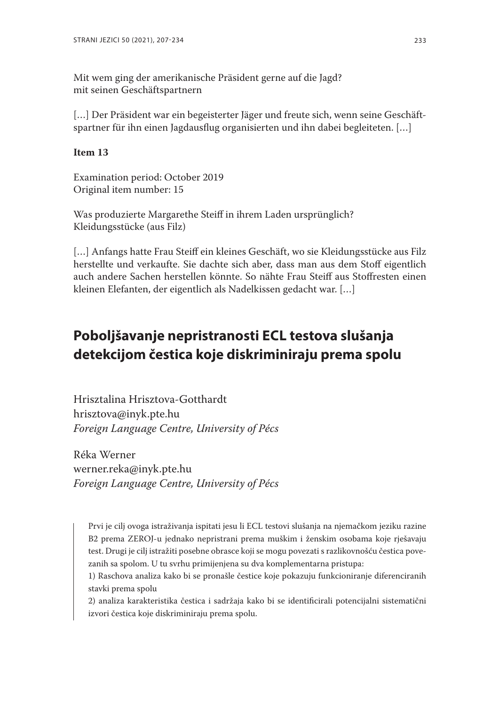Mit wem ging der amerikanische Präsident gerne auf die Jagd? mit seinen Geschäftspartnern

[...] Der Präsident war ein begeisterter Jäger und freute sich, wenn seine Geschäftspartner für ihn einen Jagdausflug organisierten und ihn dabei begleiteten. […]

#### **Item 13**

Examination period: October 2019 Original item number: 15

Was produzierte Margarethe Steiff in ihrem Laden ursprünglich? Kleidungsstücke (aus Filz)

[...] Anfangs hatte Frau Steiff ein kleines Geschäft, wo sie Kleidungsstücke aus Filz herstellte und verkaufte. Sie dachte sich aber, dass man aus dem Stoff eigentlich auch andere Sachen herstellen könnte. So nähte Frau Steiff aus Stoffresten einen kleinen Elefanten, der eigentlich als Nadelkissen gedacht war. […]

# **Poboljšavanje nepristranosti ecl testova slušanja detekcijom čestica koje diskriminiraju prema spolu**

Hrisztalina Hrisztova-Gotthardt hrisztova@inyk.pte.hu *Foreign Language Centre, University of Pécs*

Réka Werner werner.reka@inyk.pte.hu *Foreign Language Centre, University of Pécs*

Prvi je cilj ovoga istraživanja ispitati jesu li ECL testovi slušanja na njemačkom jeziku razine B2 prema ZEROJ-u jednako nepristrani prema muškim i ženskim osobama koje rješavaju test. Drugi je cilj istražiti posebne obrasce koji se mogu povezati s razlikovnošću čestica povezanih sa spolom. U tu svrhu primijenjena su dva komplementarna pristupa:

1) Raschova analiza kako bi se pronašle čestice koje pokazuju funkcioniranje diferenciranih stavki prema spolu

2) analiza karakteristika čestica i sadržaja kako bi se identificirali potencijalni sistematični izvori čestica koje diskriminiraju prema spolu.